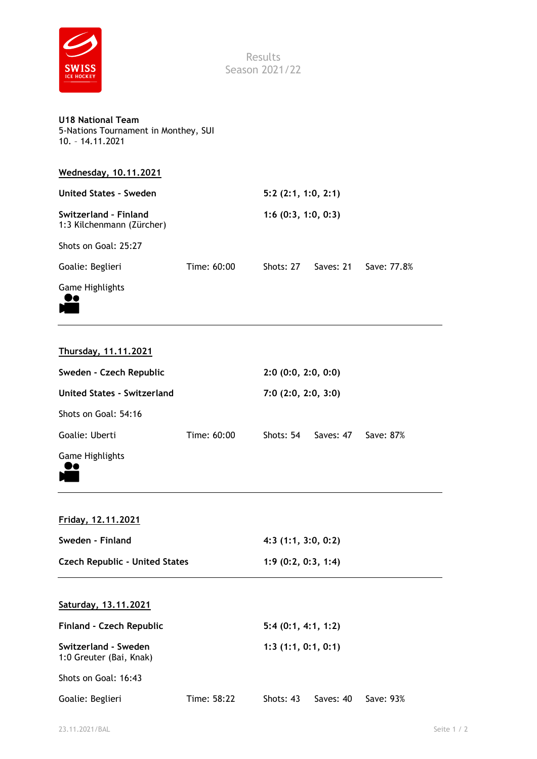

Results Season 2021/22

| <b>U18 National Team</b>             |  |
|--------------------------------------|--|
| 5-Nations Tournament in Monthey, SUI |  |
| 10. - 14.11.2021                     |  |

| Wednesday, 10.11.2021                              |             |                    |           |             |
|----------------------------------------------------|-------------|--------------------|-----------|-------------|
| <b>United States - Sweden</b>                      |             | 5:2(2:1, 1:0, 2:1) |           |             |
| Switzerland - Finland<br>1:3 Kilchenmann (Zürcher) |             | 1:6(0:3, 1:0, 0:3) |           |             |
| Shots on Goal: 25:27                               |             |                    |           |             |
| Goalie: Beglieri                                   | Time: 60:00 | Shots: 27          | Saves: 21 | Save: 77.8% |
| <b>Game Highlights</b>                             |             |                    |           |             |



| Thursday, 11.11.2021 |  |
|----------------------|--|
|                      |  |

| Sweden - Czech Republic     |             | 2:0(0:0, 2:0, 0:0) |           |           |
|-----------------------------|-------------|--------------------|-----------|-----------|
| United States - Switzerland |             | 7:0(2:0, 2:0, 3:0) |           |           |
| Shots on Goal: 54:16        |             |                    |           |           |
| Goalie: Uberti              | Time: 60:00 | Shots: 54          | Saves: 47 | Save: 87% |
| <b>Game Highlights</b>      |             |                    |           |           |

**Friday, 12.11.2021 Sweden - Finland 4:3 (1:1, 3:0, 0:2) Czech Republic - United States 1:9 (0:2, 0:3, 1:4)**

## **Saturday, 13.11.2021**

| Finland - Czech Republic                        | 5:4(0:1, 4:1, 1:2) |                    |           |           |  |  |
|-------------------------------------------------|--------------------|--------------------|-----------|-----------|--|--|
| Switzerland - Sweden<br>1:0 Greuter (Bai, Knak) |                    | 1:3(1:1, 0:1, 0:1) |           |           |  |  |
| Shots on Goal: 16:43                            |                    |                    |           |           |  |  |
| Goalie: Beglieri                                | Time: 58:22        | Shots: 43          | Saves: 40 | Save: 93% |  |  |